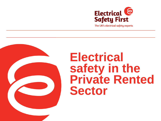

The UK's electrical safety experts



## **Electrical safety in the Private Rented Sector**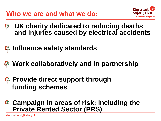

- **UK charity dedicated to reducing deaths and injuries caused by electrical accidents**
- **B** Influence safety standards
- **Work collaboratively and in partnership**
- **Provide direct support through funding schemes**
- **Campaign in areas of risk; including the Private Rented Sector (PRS)**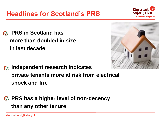#### **Headlines for Scotland's PRS**



• **PRS in Scotland has more than doubled in size in last decade**



• **Independent research indicates private tenants more at risk from electrical shock and fire**

• **PRS has a higher level of non-decency than any other tenure**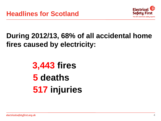

#### **During 2012/13, 68% of all accidental home fires caused by electricity:**

## **3,443 fires 5 deaths 517 injuries**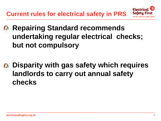**Current rules for electrical safety in PRS**



- **Repairing Standard recommends undertaking regular electrical checks; but not compulsory**
- **Disparity with gas safety which requires landlords to carry out annual safety checks**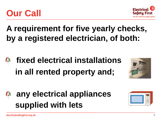

## **A requirement for five yearly checks, by a registered electrician, of both:**

- **fixed electrical installations in all rented property and;**
- **any electrical appliances supplied with lets**







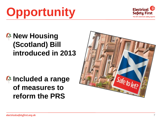# **Opportunity**

#### **B** New Housing **(Scotland) Bill introduced in 2013**

#### • **Included a range of measures to reform the PRS**



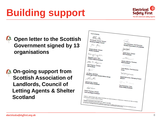# **Building support**



#### • **Open letter to the Scottish Government signed by 13 organisations**

**8. On-going support from Scottish Association of Landlords, Council of Letting Agents & Shelter Scotland** 

| Yours sincerely,                                                                                                                                                                                                                                                                                                                                                                                                                                            |                                                  |
|-------------------------------------------------------------------------------------------------------------------------------------------------------------------------------------------------------------------------------------------------------------------------------------------------------------------------------------------------------------------------------------------------------------------------------------------------------------|--------------------------------------------------|
|                                                                                                                                                                                                                                                                                                                                                                                                                                                             |                                                  |
| BRUG                                                                                                                                                                                                                                                                                                                                                                                                                                                        |                                                  |
|                                                                                                                                                                                                                                                                                                                                                                                                                                                             |                                                  |
| Phil Buckle, Director General                                                                                                                                                                                                                                                                                                                                                                                                                               |                                                  |
| Electrical Safety Council                                                                                                                                                                                                                                                                                                                                                                                                                                   |                                                  |
|                                                                                                                                                                                                                                                                                                                                                                                                                                                             | John Blackwood, Chief Executive,                 |
| Jimm Mann,                                                                                                                                                                                                                                                                                                                                                                                                                                                  | Scottish Association of Landlords                |
|                                                                                                                                                                                                                                                                                                                                                                                                                                                             |                                                  |
| Graeme Brown, Director                                                                                                                                                                                                                                                                                                                                                                                                                                      | <b>MANYSORING</b>                                |
| Shelter Scotland                                                                                                                                                                                                                                                                                                                                                                                                                                            |                                                  |
|                                                                                                                                                                                                                                                                                                                                                                                                                                                             |                                                  |
|                                                                                                                                                                                                                                                                                                                                                                                                                                                             | Sarah Speirs, Director<br><b>RICS Scotland</b>   |
| Reyorgen                                                                                                                                                                                                                                                                                                                                                                                                                                                    |                                                  |
| Margaret Lynch, CEO                                                                                                                                                                                                                                                                                                                                                                                                                                         |                                                  |
| <b>Citizens Advice Scotland</b>                                                                                                                                                                                                                                                                                                                                                                                                                             | S Chamar                                         |
|                                                                                                                                                                                                                                                                                                                                                                                                                                                             |                                                  |
| llen 1 <sup>7</sup> , Fergorer                                                                                                                                                                                                                                                                                                                                                                                                                              | Gordon Maloney, President<br><b>NUS Scotland</b> |
|                                                                                                                                                                                                                                                                                                                                                                                                                                                             |                                                  |
| Alan Ferguson, Director                                                                                                                                                                                                                                                                                                                                                                                                                                     | 4 Dayley                                         |
| CIH Scotland                                                                                                                                                                                                                                                                                                                                                                                                                                                |                                                  |
|                                                                                                                                                                                                                                                                                                                                                                                                                                                             | Leslie Morphy, Chief Executive                   |
|                                                                                                                                                                                                                                                                                                                                                                                                                                                             | Crisis                                           |
|                                                                                                                                                                                                                                                                                                                                                                                                                                                             |                                                  |
| Jon Black, Secretary<br>Edinburgh Private Tenants Action Group                                                                                                                                                                                                                                                                                                                                                                                              | DNM Guiness                                      |
|                                                                                                                                                                                                                                                                                                                                                                                                                                                             |                                                  |
| Non Kon                                                                                                                                                                                                                                                                                                                                                                                                                                                     | Newell McGuiness, Managing Director              |
|                                                                                                                                                                                                                                                                                                                                                                                                                                                             |                                                  |
|                                                                                                                                                                                                                                                                                                                                                                                                                                                             |                                                  |
| Norman Kerr, Director                                                                                                                                                                                                                                                                                                                                                                                                                                       | $G \rightarrow P$                                |
| <b>Energy Action Scotland</b>                                                                                                                                                                                                                                                                                                                                                                                                                               |                                                  |
|                                                                                                                                                                                                                                                                                                                                                                                                                                                             | Paul Richardson, Chair                           |
| Salvest Francisco                                                                                                                                                                                                                                                                                                                                                                                                                                           | Home Safety Scotland                             |
|                                                                                                                                                                                                                                                                                                                                                                                                                                                             |                                                  |
| Robert Thomson, Director                                                                                                                                                                                                                                                                                                                                                                                                                                    |                                                  |
| <b>Care and Repair Scotland</b>                                                                                                                                                                                                                                                                                                                                                                                                                             |                                                  |
|                                                                                                                                                                                                                                                                                                                                                                                                                                                             |                                                  |
|                                                                                                                                                                                                                                                                                                                                                                                                                                                             |                                                  |
| Carrichael MP, Secretary of State for Scotland                                                                                                                                                                                                                                                                                                                                                                                                              |                                                  |
| Copied by Nicole Sturgeon MSP, Deputy First Minister and Cabinet Secretary for Infrastructure, Investment and Cities, and Allateir                                                                                                                                                                                                                                                                                                                          |                                                  |
|                                                                                                                                                                                                                                                                                                                                                                                                                                                             |                                                  |
| Research conducted by Ipsos MORI, 25 <sup>th</sup> June-2 <sup>nd</sup> July 2010.<br>An RCD is a life-easing desire which is designed to prevent you have getting a fatal electric shock if you booth entrething live, each<br>An include a membership control terminal competed to prevent you man generic a most sound to receive amount an<br>We a bare when it provides a level of profection that ordinary future of circuit-breakers cannot provide. |                                                  |
|                                                                                                                                                                                                                                                                                                                                                                                                                                                             |                                                  |
|                                                                                                                                                                                                                                                                                                                                                                                                                                                             |                                                  |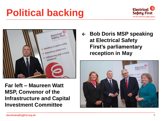# **Political backing**





**Far left – Maureen Watt MSP, Convenor of the Infrastructure and Capital Investment Committee**

 **Bob Doris MSP speaking at Electrical Safety First's parliamentary reception in May** 

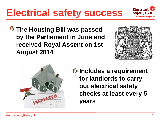## **Electrical safety success**

**4 The Housing Bill was passed by the Parliament in June and received Royal Assent on 1st August 2014**

**B** Includes a requirement **for landlords to carry out electrical safety checks at least every 5 years** 





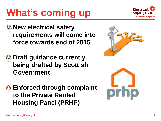## **What's coming up**

- **B** New electrical safety **requirements will come into force towards end of 2015**
- **B** Draft guidance currently **being drafted by Scottish Government**
- **B** Enforced through complaint **to the Private Rented Housing Panel (PRHP)**





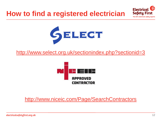#### **How to find a registered electrician**





<http://www.select.org.uk/sectionindex.php?sectionid=3>



#### <http://www.niceic.com/Page/SearchContractors>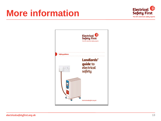## **More information**



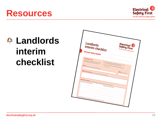#### **Resources**





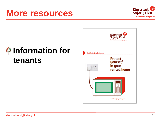#### **More resources**

#### • **Information for tenants**



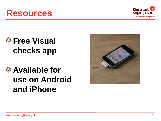#### **Resources**

#### *C* Free Visual **checks app**

## • **Available for use on Android and iPhone**



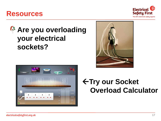#### **Resources**

#### **4 Are you overloading your electrical sockets?**

Amps Watts

3000W

2250W

1500W 750W

 $0V$ 

 $13A$ 

 $10A -$ 

 $7A -$ 

 $3A -$ 0A





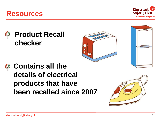#### 18

#### **Contains all the details of electrical products that have been recalled since 2007**





**Product Recall** 

**checker** 

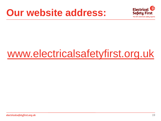## **Our website address:**



# [www.electricalsafetyfirst.org.uk](http://www.electricalsafetyfirst.org.uk/)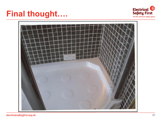### **Final thought….**